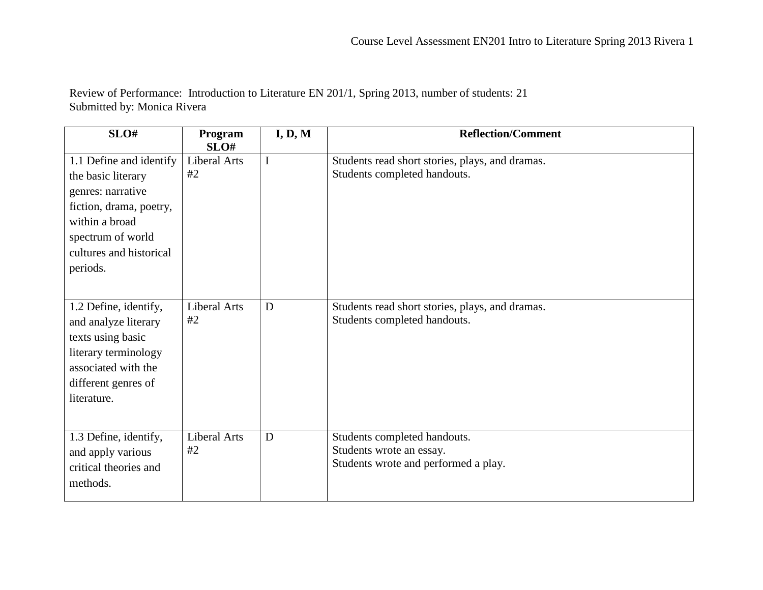Review of Performance: Introduction to Literature EN 201/1, Spring 2013, number of students: 21 Submitted by: Monica Rivera

| SLO#                    | Program<br>SLO#     | I, D, M | <b>Reflection/Comment</b>                       |
|-------------------------|---------------------|---------|-------------------------------------------------|
| 1.1 Define and identify | Liberal Arts        | I       | Students read short stories, plays, and dramas. |
| the basic literary      | #2                  |         | Students completed handouts.                    |
| genres: narrative       |                     |         |                                                 |
| fiction, drama, poetry, |                     |         |                                                 |
| within a broad          |                     |         |                                                 |
| spectrum of world       |                     |         |                                                 |
| cultures and historical |                     |         |                                                 |
| periods.                |                     |         |                                                 |
|                         |                     |         |                                                 |
| 1.2 Define, identify,   | <b>Liberal Arts</b> | D       | Students read short stories, plays, and dramas. |
| and analyze literary    | #2                  |         | Students completed handouts.                    |
| texts using basic       |                     |         |                                                 |
| literary terminology    |                     |         |                                                 |
| associated with the     |                     |         |                                                 |
| different genres of     |                     |         |                                                 |
| literature.             |                     |         |                                                 |
|                         |                     |         |                                                 |
| 1.3 Define, identify,   | <b>Liberal Arts</b> | D       | Students completed handouts.                    |
| and apply various       | #2                  |         | Students wrote an essay.                        |
| critical theories and   |                     |         | Students wrote and performed a play.            |
| methods.                |                     |         |                                                 |
|                         |                     |         |                                                 |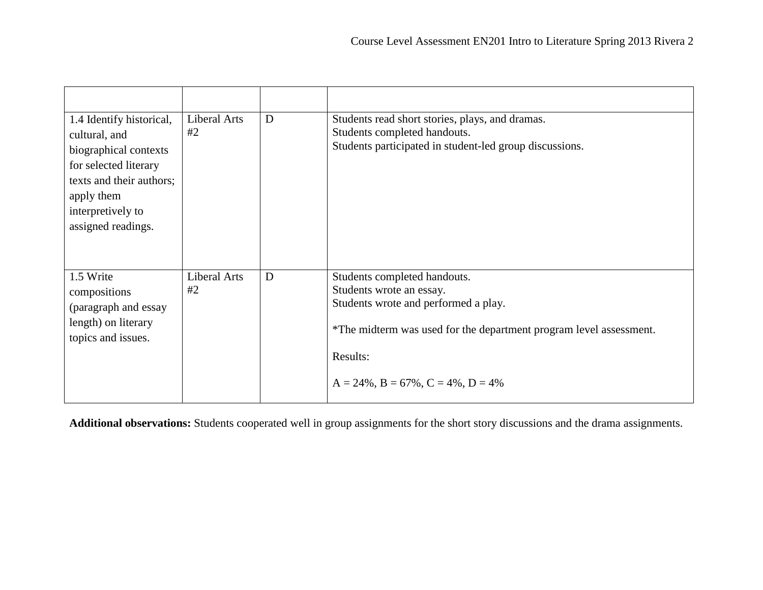| 1.4 Identify historical,<br>cultural, and<br>biographical contexts<br>for selected literary<br>texts and their authors;<br>apply them<br>interpretively to<br>assigned readings. | Liberal Arts<br>#2 | D | Students read short stories, plays, and dramas.<br>Students completed handouts.<br>Students participated in student-led group discussions.                                                                                            |
|----------------------------------------------------------------------------------------------------------------------------------------------------------------------------------|--------------------|---|---------------------------------------------------------------------------------------------------------------------------------------------------------------------------------------------------------------------------------------|
| 1.5 Write<br>compositions<br>(paragraph and essay<br>length) on literary<br>topics and issues.                                                                                   | Liberal Arts<br>#2 | D | Students completed handouts.<br>Students wrote an essay.<br>Students wrote and performed a play.<br>*The midterm was used for the department program level assessment.<br>Results:<br>$A = 24\%$ , $B = 67\%$ , $C = 4\%$ , $D = 4\%$ |

**Additional observations:** Students cooperated well in group assignments for the short story discussions and the drama assignments.